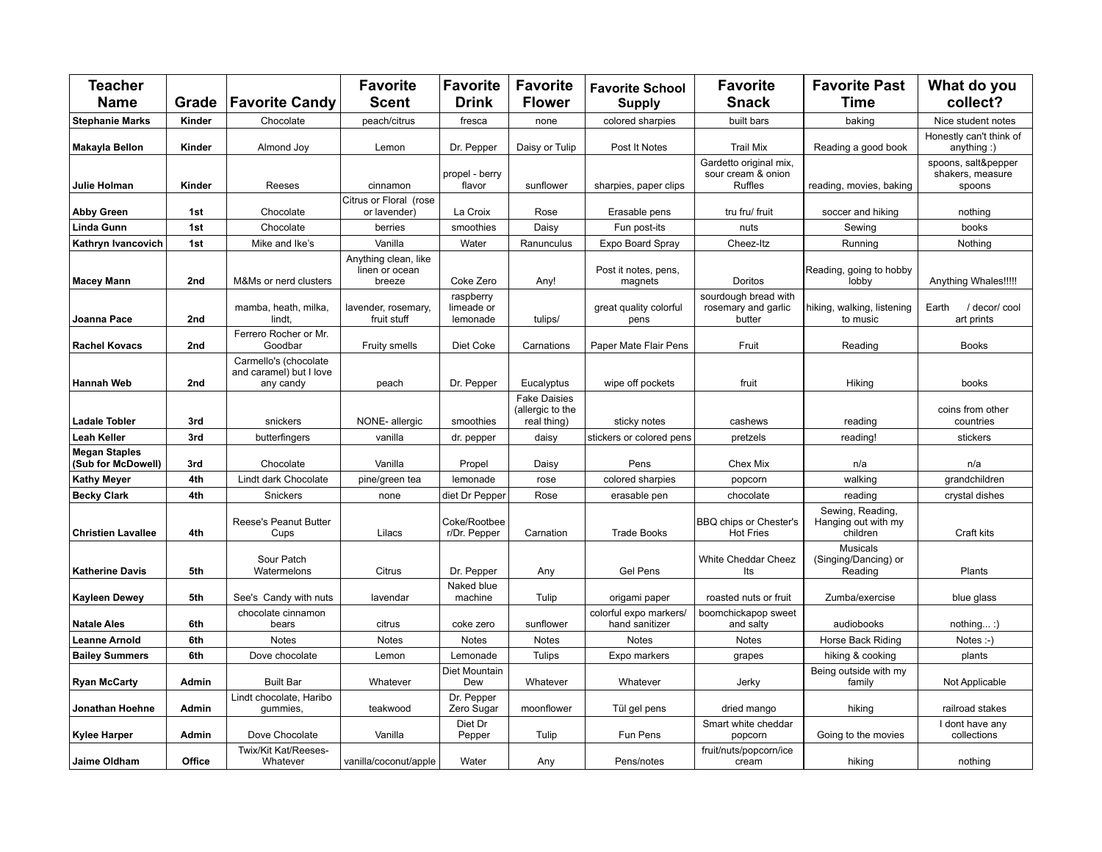| <b>Teacher</b><br><b>Name</b>              | Grade  | <b>Favorite Candy</b>                                         | <b>Favorite</b><br><b>Scent</b>                  | <b>Favorite</b><br><b>Drink</b>     | <b>Favorite</b><br><b>Flower</b>                       | <b>Favorite School</b><br><b>Supply</b>  | <b>Favorite</b><br><b>Snack</b>                                | <b>Favorite Past</b><br><b>Time</b>                 | What do you<br>collect?                           |
|--------------------------------------------|--------|---------------------------------------------------------------|--------------------------------------------------|-------------------------------------|--------------------------------------------------------|------------------------------------------|----------------------------------------------------------------|-----------------------------------------------------|---------------------------------------------------|
| <b>Stephanie Marks</b>                     | Kinder | Chocolate                                                     | peach/citrus                                     | fresca                              | none                                                   | colored sharpies                         | built bars                                                     | baking                                              | Nice student notes                                |
| Makayla Bellon                             | Kinder | Almond Joy                                                    | Lemon                                            | Dr. Pepper                          | Daisy or Tulip                                         | Post It Notes                            | <b>Trail Mix</b>                                               | Reading a good book                                 | Honestly can't think of<br>anything:)             |
| Julie Holman                               | Kinder | Reeses                                                        | cinnamon                                         | propel - berry<br>flavor            | sunflower                                              | sharpies, paper clips                    | Gardetto original mix,<br>sour cream & onion<br><b>Ruffles</b> | reading, movies, baking                             | spoons, salt&pepper<br>shakers, measure<br>spoons |
| <b>Abby Green</b>                          | 1st    | Chocolate                                                     | Citrus or Floral (rose<br>or lavender)           | La Croix                            | Rose                                                   | Erasable pens                            | tru fru/ fruit                                                 | soccer and hiking                                   | nothing                                           |
| <b>Linda Gunn</b>                          | 1st    | Chocolate                                                     | berries                                          | smoothies                           | Daisy                                                  | Fun post-its                             | nuts                                                           | Sewing                                              | books                                             |
| Kathryn Ivancovich                         | 1st    | Mike and Ike's                                                | Vanilla                                          | Water                               | Ranunculus                                             | Expo Board Spray                         | Cheez-Itz                                                      | Running                                             | Nothing                                           |
| <b>Macey Mann</b>                          | 2nd    | M&Ms or nerd clusters                                         | Anything clean, like<br>linen or ocean<br>breeze | Coke Zero                           | Any!                                                   | Post it notes, pens,<br>magnets          | Doritos                                                        | Reading, going to hobby<br>lobby                    | Anything Whales!!!!!                              |
| Joanna Pace                                | 2nd    | mamba, heath, milka,<br>lindt,                                | lavender, rosemary,<br>fruit stuff               | raspberry<br>limeade or<br>lemonade | tulips/                                                | great quality colorful<br>pens           | sourdough bread with<br>rosemary and garlic<br>butter          | hiking, walking, listening<br>to music              | Earth<br>/ decor/ cool<br>art prints              |
| <b>Rachel Kovacs</b>                       | 2nd    | Ferrero Rocher or Mr.<br>Goodbar                              | Fruity smells                                    | Diet Coke                           | Carnations                                             | Paper Mate Flair Pens                    | Fruit                                                          | Reading                                             | <b>Books</b>                                      |
| <b>Hannah Web</b>                          | 2nd    | Carmello's (chocolate<br>and caramel) but I love<br>any candy | peach                                            | Dr. Pepper                          | Eucalyptus                                             | wipe off pockets                         | fruit                                                          | Hiking                                              | books                                             |
| <b>Ladale Tobler</b>                       | 3rd    | snickers                                                      | NONE-allergic                                    | smoothies                           | <b>Fake Daisies</b><br>(allergic to the<br>real thing) | sticky notes                             | cashews                                                        | reading                                             | coins from other<br>countries                     |
| <b>Leah Keller</b>                         | 3rd    | butterfingers                                                 | vanilla                                          | dr. pepper                          | daisy                                                  | stickers or colored pens                 | pretzels                                                       | reading!                                            | stickers                                          |
| <b>Megan Staples</b><br>(Sub for McDowell) | 3rd    | Chocolate                                                     | Vanilla                                          | Propel                              | Daisy                                                  | Pens                                     | Chex Mix                                                       | n/a                                                 | n/a                                               |
| <b>Kathy Meyer</b>                         | 4th    | Lindt dark Chocolate                                          | pine/green tea                                   | lemonade                            | rose                                                   | colored sharpies                         | popcorn                                                        | walking                                             | grandchildren                                     |
| <b>Becky Clark</b>                         | 4th    | Snickers                                                      | none                                             | diet Dr Pepper                      | Rose                                                   | erasable pen                             | chocolate                                                      | reading                                             | crystal dishes                                    |
| <b>Christien Lavallee</b>                  | 4th    | Reese's Peanut Butter<br>Cups                                 | Lilacs                                           | Coke/Rootbee<br>r/Dr. Pepper        | Carnation                                              | <b>Trade Books</b>                       | BBQ chips or Chester's<br><b>Hot Fries</b>                     | Sewing, Reading,<br>Hanging out with my<br>children | Craft kits                                        |
| <b>Katherine Davis</b>                     | 5th    | Sour Patch<br>Watermelons                                     | Citrus                                           | Dr. Pepper                          | Any                                                    | <b>Gel Pens</b>                          | White Cheddar Cheez<br>Its                                     | <b>Musicals</b><br>(Singing/Dancing) or<br>Reading  | Plants                                            |
| <b>Kayleen Dewey</b>                       | 5th    | See's Candy with nuts                                         | lavendar                                         | Naked blue<br>machine               | Tulip                                                  | origami paper                            | roasted nuts or fruit                                          | Zumba/exercise                                      | blue glass                                        |
| <b>Natale Ales</b>                         | 6th    | chocolate cinnamon<br>bears                                   | citrus                                           | coke zero                           | sunflower                                              | colorful expo markers/<br>hand sanitizer | boomchickapop sweet<br>and salty                               | audiobooks                                          | $not thing$ :)                                    |
| <b>Leanne Arnold</b>                       | 6th    | <b>Notes</b>                                                  | <b>Notes</b>                                     | <b>Notes</b>                        | <b>Notes</b>                                           | <b>Notes</b>                             | <b>Notes</b>                                                   | Horse Back Riding                                   | Notes $-$ )                                       |
| <b>Bailey Summers</b>                      | 6th    | Dove chocolate                                                | Lemon                                            | Lemonade                            | <b>Tulips</b>                                          | Expo markers                             | grapes                                                         | hiking & cooking                                    | plants                                            |
| <b>Ryan McCarty</b>                        | Admin  | <b>Built Bar</b>                                              | Whatever                                         | Diet Mountain<br>Dew                | Whatever                                               | Whatever                                 | Jerky                                                          | Being outside with my<br>family                     | Not Applicable                                    |
| Jonathan Hoehne                            | Admin  | Lindt chocolate, Haribo<br>gummies,                           | teakwood                                         | Dr. Pepper<br>Zero Sugar            | moonflower                                             | Tül gel pens                             | dried mango                                                    | hiking                                              | railroad stakes                                   |
| <b>Kylee Harper</b>                        | Admin  | Dove Chocolate                                                | Vanilla                                          | Diet Dr<br>Pepper                   | Tulip                                                  | Fun Pens                                 | Smart white cheddar<br>popcorn                                 | Going to the movies                                 | I dont have any<br>collections                    |
| <b>Jaime Oldham</b>                        | Office | Twix/Kit Kat/Reeses-<br>Whatever                              | vanilla/coconut/apple                            | Water                               | Any                                                    | Pens/notes                               | fruit/nuts/popcorn/ice<br>cream                                | hiking                                              | nothing                                           |